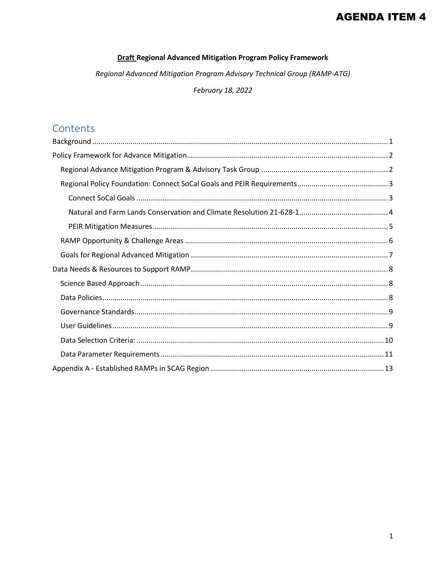# **AGENDA ITEM 4**

#### **Draft Regional Advanced Mitigation Program Policy Framework**

Regional Advanced Mitigation Program Advisory Technical Group (RAMP-ATG)

February 18, 2022

# Contents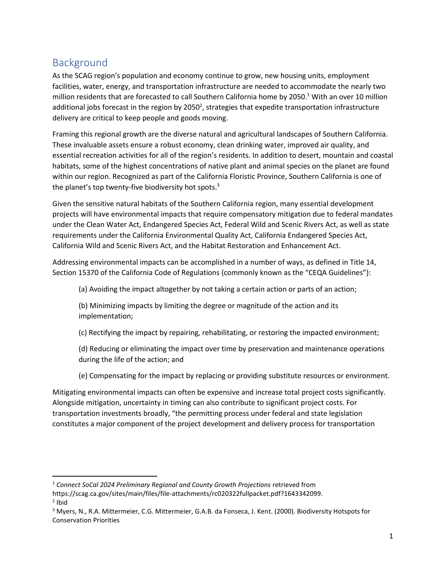# <span id="page-1-0"></span>Background

As the SCAG region's population and economy continue to grow, new housing units, employment facilities, water, energy, and transportation infrastructure are needed to accommodate the nearly two million residents that are forecasted to call Southern California home by 2050.<sup>1</sup> With an over 10 million additional jobs forecast in the region by 2050<sup>2</sup>, strategies that expedite transportation infrastructure delivery are critical to keep people and goods moving.

Framing this regional growth are the diverse natural and agricultural landscapes of Southern California. These invaluable assets ensure a robust economy, clean drinking water, improved air quality, and essential recreation activities for all of the region's residents. In addition to desert, mountain and coastal habitats, some of the highest concentrations of native plant and animal species on the planet are found within our region. Recognized as part of the California Floristic Province, Southern California is one of the planet's top twenty-five biodiversity hot spots.<sup>3</sup>

Given the sensitive natural habitats of the Southern California region, many essential development projects will have environmental impacts that require compensatory mitigation due to federal mandates under the Clean Water Act, Endangered Species Act, Federal Wild and Scenic Rivers Act, as well as state requirements under the California Environmental Quality Act, California Endangered Species Act, California Wild and Scenic Rivers Act, and the Habitat Restoration and Enhancement Act.

Addressing environmental impacts can be accomplished in a number of ways, as defined in Title 14, Section 15370 of the California Code of Regulations (commonly known as the "CEQA Guidelines"):

(a) Avoiding the impact altogether by not taking a certain action or parts of an action;

(b) Minimizing impacts by limiting the degree or magnitude of the action and its implementation;

(c) Rectifying the impact by repairing, rehabilitating, or restoring the impacted environment;

(d) Reducing or eliminating the impact over time by preservation and maintenance operations during the life of the action; and

(e) Compensating for the impact by replacing or providing substitute resources or environment.

Mitigating environmental impacts can often be expensive and increase total project costs significantly. Alongside mitigation, uncertainty in timing can also contribute to significant project costs. For transportation investments broadly, "the permitting process under federal and state legislation constitutes a major component of the project development and delivery process for transportation

<sup>1</sup> *Connect SoCal 2024 Preliminary Regional and County Growth Projections* retrieved from

https://scag.ca.gov/sites/main/files/file-attachments/rc020322fullpacket.pdf?1643342099.

<sup>&</sup>lt;sup>2</sup> Ibid

<sup>&</sup>lt;sup>3</sup> Myers, N., R.A. Mittermeier, C.G. Mittermeier, G.A.B. da Fonseca, J. Kent. (2000). Biodiversity Hotspots for Conservation Priorities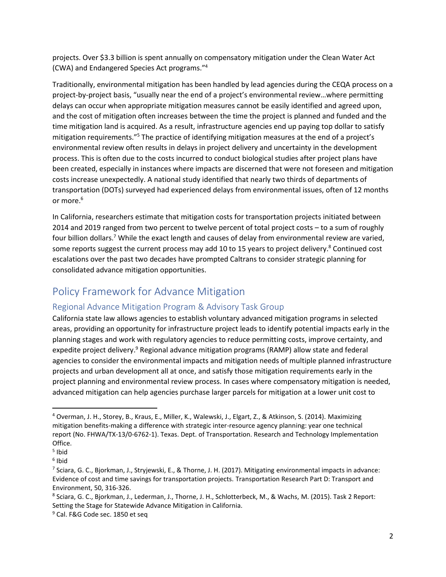projects. Over \$3.3 billion is spent annually on compensatory mitigation under the Clean Water Act (CWA) and Endangered Species Act programs." 4

Traditionally, environmental mitigation has been handled by lead agencies during the CEQA process on a project-by-project basis, "usually near the end of a project's environmental review…where permitting delays can occur when appropriate mitigation measures cannot be easily identified and agreed upon, and the cost of mitigation often increases between the time the project is planned and funded and the time mitigation land is acquired. As a result, infrastructure agencies end up paying top dollar to satisfy mitigation requirements."<sup>5</sup> The practice of identifying mitigation measures at the end of a project's environmental review often results in delays in project delivery and uncertainty in the development process. This is often due to the costs incurred to conduct biological studies after project plans have been created, especially in instances where impacts are discerned that were not foreseen and mitigation costs increase unexpectedly. A national study identified that nearly two thirds of departments of transportation (DOTs) surveyed had experienced delays from environmental issues, often of 12 months or more. 6

In California, researchers estimate that mitigation costs for transportation projects initiated between 2014 and 2019 ranged from two percent to twelve percent of total project costs – to a sum of roughly four billion dollars.<sup>7</sup> While the exact length and causes of delay from environmental review are varied, some reports suggest the current process may add 10 to 15 years to project delivery.<sup>8</sup> Continued cost escalations over the past two decades have prompted Caltrans to consider strategic planning for consolidated advance mitigation opportunities.

# <span id="page-2-0"></span>Policy Framework for Advance Mitigation

# <span id="page-2-1"></span>Regional Advance Mitigation Program & Advisory Task Group

California state law allows agencies to establish voluntary advanced mitigation programs in selected areas, providing an opportunity for infrastructure project leads to identify potential impacts early in the planning stages and work with regulatory agencies to reduce permitting costs, improve certainty, and expedite project delivery.<sup>9</sup> Regional advance mitigation programs (RAMP) allow state and federal agencies to consider the environmental impacts and mitigation needs of multiple planned infrastructure projects and urban development all at once, and satisfy those mitigation requirements early in the project planning and environmental review process. In cases where compensatory mitigation is needed, advanced mitigation can help agencies purchase larger parcels for mitigation at a lower unit cost to

<sup>4</sup> Overman, J. H., Storey, B., Kraus, E., Miller, K., Walewski, J., Elgart, Z., & Atkinson, S. (2014). Maximizing mitigation benefits-making a difference with strategic inter-resource agency planning: year one technical report (No. FHWA/TX-13/0-6762-1). Texas. Dept. of Transportation. Research and Technology Implementation Office.

<sup>&</sup>lt;sup>5</sup> Ibid

<sup>&</sup>lt;sup>6</sup> Ibid

<sup>&</sup>lt;sup>7</sup> Sciara, G. C., Bjorkman, J., Stryjewski, E., & Thorne, J. H. (2017). Mitigating environmental impacts in advance: Evidence of cost and time savings for transportation projects. Transportation Research Part D: Transport and Environment, 50, 316-326.

<sup>8</sup> Sciara, G. C., Bjorkman, J., Lederman, J., Thorne, J. H., Schlotterbeck, M., & Wachs, M. (2015). Task 2 Report: Setting the Stage for Statewide Advance Mitigation in California.

<sup>&</sup>lt;sup>9</sup> Cal. F&G Code sec. 1850 et seq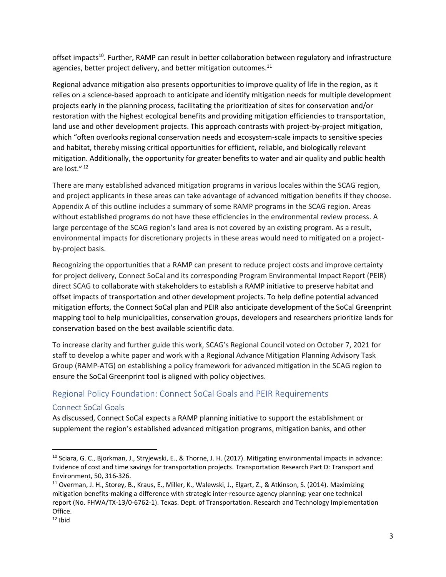offset impacts<sup>10</sup>. Further, RAMP can result in better collaboration between regulatory and infrastructure agencies, better project delivery, and better mitigation outcomes. $^{11}$ 

Regional advance mitigation also presents opportunities to improve quality of life in the region, as it relies on a science-based approach to anticipate and identify mitigation needs for multiple development projects early in the planning process, facilitating the prioritization of sites for conservation and/or restoration with the highest ecological benefits and providing mitigation efficiencies to transportation, land use and other development projects. This approach contrasts with project-by-project mitigation, which "often overlooks regional conservation needs and ecosystem-scale impacts to sensitive species and habitat, thereby missing critical opportunities for efficient, reliable, and biologically relevant mitigation. Additionally, the opportunity for greater benefits to water and air quality and public health are lost." <sup>12</sup>

There are many established advanced mitigation programs in various locales within the SCAG region, and project applicants in these areas can take advantage of advanced mitigation benefits if they choose. Appendix A of this outline includes a summary of some RAMP programs in the SCAG region. Areas without established programs do not have these efficiencies in the environmental review process. A large percentage of the SCAG region's land area is not covered by an existing program. As a result, environmental impacts for discretionary projects in these areas would need to mitigated on a projectby-project basis.

Recognizing the opportunities that a RAMP can present to reduce project costs and improve certainty for project delivery, Connect SoCal and its corresponding Program Environmental Impact Report (PEIR) direct SCAG to collaborate with stakeholders to establish a RAMP initiative to preserve habitat and offset impacts of transportation and other development projects. To help define potential advanced mitigation efforts, the Connect SoCal plan and PEIR also anticipate development of the SoCal Greenprint mapping tool to help municipalities, conservation groups, developers and researchers prioritize lands for conservation based on the best available scientific data.

To increase clarity and further guide this work, SCAG's Regional Council voted on October 7, 2021 for staff to develop a white paper and work with a Regional Advance Mitigation Planning Advisory Task Group (RAMP-ATG) on establishing a policy framework for advanced mitigation in the SCAG region to ensure the SoCal Greenprint tool is aligned with policy objectives.

# <span id="page-3-0"></span>Regional Policy Foundation: Connect SoCal Goals and PEIR Requirements

## <span id="page-3-1"></span>Connect SoCal Goals

As discussed, Connect SoCal expects a RAMP planning initiative to support the establishment or supplement the region's established advanced mitigation programs, mitigation banks, and other

<sup>&</sup>lt;sup>10</sup> Sciara, G. C., Bjorkman, J., Stryjewski, E., & Thorne, J. H. (2017). Mitigating environmental impacts in advance: Evidence of cost and time savings for transportation projects. Transportation Research Part D: Transport and Environment, 50, 316-326.

<sup>11</sup> Overman, J. H., Storey, B., Kraus, E., Miller, K., Walewski, J., Elgart, Z., & Atkinson, S. (2014). Maximizing mitigation benefits-making a difference with strategic inter-resource agency planning: year one technical report (No. FHWA/TX-13/0-6762-1). Texas. Dept. of Transportation. Research and Technology Implementation Office.

 $12$  Ibid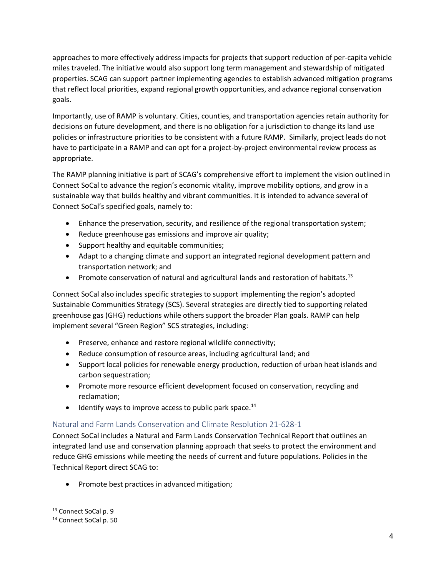approaches to more effectively address impacts for projects that support reduction of per-capita vehicle miles traveled. The initiative would also support long term management and stewardship of mitigated properties. SCAG can support partner implementing agencies to establish advanced mitigation programs that reflect local priorities, expand regional growth opportunities, and advance regional conservation goals.

Importantly, use of RAMP is voluntary. Cities, counties, and transportation agencies retain authority for decisions on future development, and there is no obligation for a jurisdiction to change its land use policies or infrastructure priorities to be consistent with a future RAMP. Similarly, project leads do not have to participate in a RAMP and can opt for a project-by-project environmental review process as appropriate.

The RAMP planning initiative is part of SCAG's comprehensive effort to implement the vision outlined in Connect SoCal to advance the region's economic vitality, improve mobility options, and grow in a sustainable way that builds healthy and vibrant communities. It is intended to advance several of Connect SoCal's specified goals, namely to:

- Enhance the preservation, security, and resilience of the regional transportation system;
- Reduce greenhouse gas emissions and improve air quality;
- Support healthy and equitable communities;
- Adapt to a changing climate and support an integrated regional development pattern and transportation network; and
- Promote conservation of natural and agricultural lands and restoration of habitats.<sup>13</sup>

Connect SoCal also includes specific strategies to support implementing the region's adopted Sustainable Communities Strategy (SCS). Several strategies are directly tied to supporting related greenhouse gas (GHG) reductions while others support the broader Plan goals. RAMP can help implement several "Green Region" SCS strategies, including:

- Preserve, enhance and restore regional wildlife connectivity;
- Reduce consumption of resource areas, including agricultural land; and
- Support local policies for renewable energy production, reduction of urban heat islands and carbon sequestration;
- Promote more resource efficient development focused on conservation, recycling and reclamation;
- $\bullet$  Identify ways to improve access to public park space.<sup>14</sup>

## <span id="page-4-0"></span>Natural and Farm Lands Conservation and Climate Resolution 21-628-1

Connect SoCal includes a Natural and Farm Lands Conservation Technical Report that outlines an integrated land use and conservation planning approach that seeks to protect the environment and reduce GHG emissions while meeting the needs of current and future populations. Policies in the Technical Report direct SCAG to:

• Promote best practices in advanced mitigation;

<sup>&</sup>lt;sup>13</sup> Connect SoCal p. 9

<sup>14</sup> Connect SoCal p. 50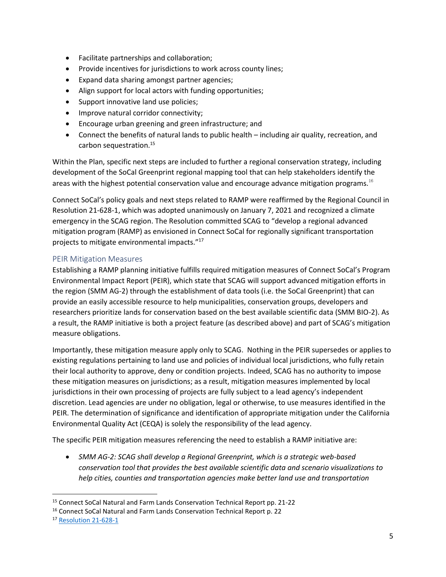- Facilitate partnerships and collaboration;
- Provide incentives for jurisdictions to work across county lines;
- Expand data sharing amongst partner agencies;
- Align support for local actors with funding opportunities;
- Support innovative land use policies;
- Improve natural corridor connectivity;
- Encourage urban greening and green infrastructure; and
- Connect the benefits of natural lands to public health including air quality, recreation, and carbon sequestration.<sup>15</sup>

Within the Plan, specific next steps are included to further a regional conservation strategy, including development of the SoCal Greenprint regional mapping tool that can help stakeholders identify the areas with the highest potential conservation value and encourage advance mitigation programs.<sup>16</sup>

Connect SoCal's policy goals and next steps related to RAMP were reaffirmed by the Regional Council in Resolution 21-628-1, which was adopted unanimously on January 7, 2021 and recognized a climate emergency in the SCAG region. The Resolution committed SCAG to "develop a regional advanced mitigation program (RAMP) as envisioned in Connect SoCal for regionally significant transportation projects to mitigate environmental impacts."<sup>17</sup>

#### <span id="page-5-0"></span>PEIR Mitigation Measures

Establishing a RAMP planning initiative fulfills required mitigation measures of Connect SoCal's Program Environmental Impact Report (PEIR), which state that SCAG will support advanced mitigation efforts in the region (SMM AG-2) through the establishment of data tools (i.e. the SoCal Greenprint) that can provide an easily accessible resource to help municipalities, conservation groups, developers and researchers prioritize lands for conservation based on the best available scientific data (SMM BIO-2). As a result, the RAMP initiative is both a project feature (as described above) and part of SCAG's mitigation measure obligations.

Importantly, these mitigation measure apply only to SCAG. Nothing in the PEIR supersedes or applies to existing regulations pertaining to land use and policies of individual local jurisdictions, who fully retain their local authority to approve, deny or condition projects. Indeed, SCAG has no authority to impose these mitigation measures on jurisdictions; as a result, mitigation measures implemented by local jurisdictions in their own processing of projects are fully subject to a lead agency's independent discretion. Lead agencies are under no obligation, legal or otherwise, to use measures identified in the PEIR. The determination of significance and identification of appropriate mitigation under the California Environmental Quality Act (CEQA) is solely the responsibility of the lead agency.

The specific PEIR mitigation measures referencing the need to establish a RAMP initiative are:

• *SMM AG-2: SCAG shall develop a Regional Greenprint, which is a strategic web-based conservation tool that provides the best available scientific data and scenario visualizations to help cities, counties and transportation agencies make better land use and transportation* 

<sup>15</sup> Connect SoCal Natural and Farm Lands Conservation Technical Report pp. 21-22

<sup>16</sup> Connect SoCal Natural and Farm Lands Conservation Technical Report p. 22

<sup>17</sup> [Resolution 21‐628‐1](https://scag.ca.gov/sites/main/files/file-attachments/rc010721resolution21-628-1.pdf?1610072923)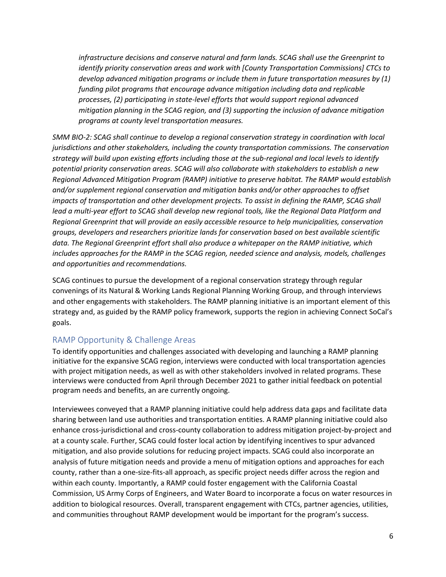*infrastructure decisions and conserve natural and farm lands. SCAG shall use the Greenprint to identify priority conservation areas and work with [County Transportation Commissions] CTCs to develop advanced mitigation programs or include them in future transportation measures by (1) funding pilot programs that encourage advance mitigation including data and replicable processes, (2) participating in state-level efforts that would support regional advanced mitigation planning in the SCAG region, and (3) supporting the inclusion of advance mitigation programs at county level transportation measures.*

*SMM BIO-2: SCAG shall continue to develop a regional conservation strategy in coordination with local jurisdictions and other stakeholders, including the county transportation commissions. The conservation strategy will build upon existing efforts including those at the sub-regional and local levels to identify potential priority conservation areas. SCAG will also collaborate with stakeholders to establish a new Regional Advanced Mitigation Program (RAMP) initiative to preserve habitat. The RAMP would establish and/or supplement regional conservation and mitigation banks and/or other approaches to offset impacts of transportation and other development projects. To assist in defining the RAMP, SCAG shall lead a multi-year effort to SCAG shall develop new regional tools, like the Regional Data Platform and Regional Greenprint that will provide an easily accessible resource to help municipalities, conservation groups, developers and researchers prioritize lands for conservation based on best available scientific data. The Regional Greenprint effort shall also produce a whitepaper on the RAMP initiative, which includes approaches for the RAMP in the SCAG region, needed science and analysis, models, challenges and opportunities and recommendations.*

SCAG continues to pursue the development of a regional conservation strategy through regular convenings of its Natural & Working Lands Regional Planning Working Group, and through interviews and other engagements with stakeholders. The RAMP planning initiative is an important element of this strategy and, as guided by the RAMP policy framework, supports the region in achieving Connect SoCal's goals.

## <span id="page-6-0"></span>RAMP Opportunity & Challenge Areas

To identify opportunities and challenges associated with developing and launching a RAMP planning initiative for the expansive SCAG region, interviews were conducted with local transportation agencies with project mitigation needs, as well as with other stakeholders involved in related programs. These interviews were conducted from April through December 2021 to gather initial feedback on potential program needs and benefits, an are currently ongoing.

Interviewees conveyed that a RAMP planning initiative could help address data gaps and facilitate data sharing between land use authorities and transportation entities. A RAMP planning initiative could also enhance cross-jurisdictional and cross-county collaboration to address mitigation project-by-project and at a county scale. Further, SCAG could foster local action by identifying incentives to spur advanced mitigation, and also provide solutions for reducing project impacts. SCAG could also incorporate an analysis of future mitigation needs and provide a menu of mitigation options and approaches for each county, rather than a one-size-fits-all approach, as specific project needs differ across the region and within each county. Importantly, a RAMP could foster engagement with the California Coastal Commission, US Army Corps of Engineers, and Water Board to incorporate a focus on water resources in addition to biological resources. Overall, transparent engagement with CTCs, partner agencies, utilities, and communities throughout RAMP development would be important for the program's success.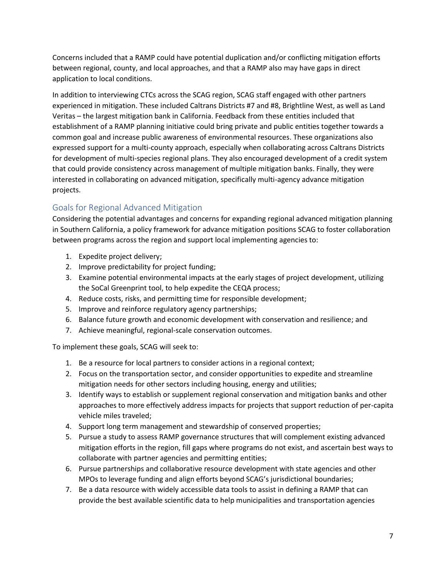Concerns included that a RAMP could have potential duplication and/or conflicting mitigation efforts between regional, county, and local approaches, and that a RAMP also may have gaps in direct application to local conditions.

In addition to interviewing CTCs across the SCAG region, SCAG staff engaged with other partners experienced in mitigation. These included Caltrans Districts #7 and #8, Brightline West, as well as Land Veritas – the largest mitigation bank in California. Feedback from these entities included that establishment of a RAMP planning initiative could bring private and public entities together towards a common goal and increase public awareness of environmental resources. These organizations also expressed support for a multi-county approach, especially when collaborating across Caltrans Districts for development of multi-species regional plans. They also encouraged development of a credit system that could provide consistency across management of multiple mitigation banks. Finally, they were interested in collaborating on advanced mitigation, specifically multi-agency advance mitigation projects.

# <span id="page-7-0"></span>Goals for Regional Advanced Mitigation

Considering the potential advantages and concerns for expanding regional advanced mitigation planning in Southern California, a policy framework for advance mitigation positions SCAG to foster collaboration between programs across the region and support local implementing agencies to:

- 1. Expedite project delivery;
- 2. Improve predictability for project funding;
- 3. Examine potential environmental impacts at the early stages of project development, utilizing the SoCal Greenprint tool, to help expedite the CEQA process;
- 4. Reduce costs, risks, and permitting time for responsible development;
- 5. Improve and reinforce regulatory agency partnerships;
- 6. Balance future growth and economic development with conservation and resilience; and
- 7. Achieve meaningful, regional-scale conservation outcomes.

To implement these goals, SCAG will seek to:

- 1. Be a resource for local partners to consider actions in a regional context;
- 2. Focus on the transportation sector, and consider opportunities to expedite and streamline mitigation needs for other sectors including housing, energy and utilities;
- 3. Identify ways to establish or supplement regional conservation and mitigation banks and other approaches to more effectively address impacts for projects that support reduction of per-capita vehicle miles traveled;
- 4. Support long term management and stewardship of conserved properties;
- 5. Pursue a study to assess RAMP governance structures that will complement existing advanced mitigation efforts in the region, fill gaps where programs do not exist, and ascertain best ways to collaborate with partner agencies and permitting entities;
- 6. Pursue partnerships and collaborative resource development with state agencies and other MPOs to leverage funding and align efforts beyond SCAG's jurisdictional boundaries;
- 7. Be a data resource with widely accessible data tools to assist in defining a RAMP that can provide the best available scientific data to help municipalities and transportation agencies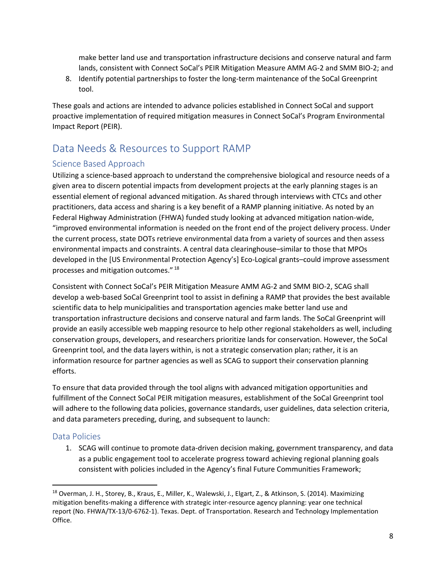make better land use and transportation infrastructure decisions and conserve natural and farm lands, consistent with Connect SoCal's PEIR Mitigation Measure AMM AG-2 and SMM BIO-2; and

8. Identify potential partnerships to foster the long-term maintenance of the SoCal Greenprint tool.

These goals and actions are intended to advance policies established in Connect SoCal and support proactive implementation of required mitigation measures in Connect SoCal's Program Environmental Impact Report (PEIR).

# <span id="page-8-0"></span>Data Needs & Resources to Support RAMP

# <span id="page-8-1"></span>Science Based Approach

Utilizing a science-based approach to understand the comprehensive biological and resource needs of a given area to discern potential impacts from development projects at the early planning stages is an essential element of regional advanced mitigation. As shared through interviews with CTCs and other practitioners, data access and sharing is a key benefit of a RAMP planning initiative. As noted by an Federal Highway Administration (FHWA) funded study looking at advanced mitigation nation-wide, "improved environmental information is needed on the front end of the project delivery process. Under the current process, state DOTs retrieve environmental data from a variety of sources and then assess environmental impacts and constraints. A central data clearinghouse–similar to those that MPOs developed in the [US Environmental Protection Agency's] Eco-Logical grants–could improve assessment processes and mitigation outcomes." <sup>18</sup>

Consistent with Connect SoCal's PEIR Mitigation Measure AMM AG-2 and SMM BIO-2, SCAG shall develop a web-based SoCal Greenprint tool to assist in defining a RAMP that provides the best available scientific data to help municipalities and transportation agencies make better land use and transportation infrastructure decisions and conserve natural and farm lands. The SoCal Greenprint will provide an easily accessible web mapping resource to help other regional stakeholders as well, including conservation groups, developers, and researchers prioritize lands for conservation. However, the SoCal Greenprint tool, and the data layers within, is not a strategic conservation plan; rather, it is an information resource for partner agencies as well as SCAG to support their conservation planning efforts.

To ensure that data provided through the tool aligns with advanced mitigation opportunities and fulfillment of the Connect SoCal PEIR mitigation measures, establishment of the SoCal Greenprint tool will adhere to the following data policies, governance standards, user guidelines, data selection criteria, and data parameters preceding, during, and subsequent to launch:

# <span id="page-8-2"></span>Data Policies

1. SCAG will continue to promote data-driven decision making, government transparency, and data as a public engagement tool to accelerate progress toward achieving regional planning goals consistent with policies included in the Agency's final Future Communities Framework;

<sup>&</sup>lt;sup>18</sup> Overman, J. H., Storey, B., Kraus, E., Miller, K., Walewski, J., Elgart, Z., & Atkinson, S. (2014). Maximizing mitigation benefits-making a difference with strategic inter-resource agency planning: year one technical report (No. FHWA/TX-13/0-6762-1). Texas. Dept. of Transportation. Research and Technology Implementation Office.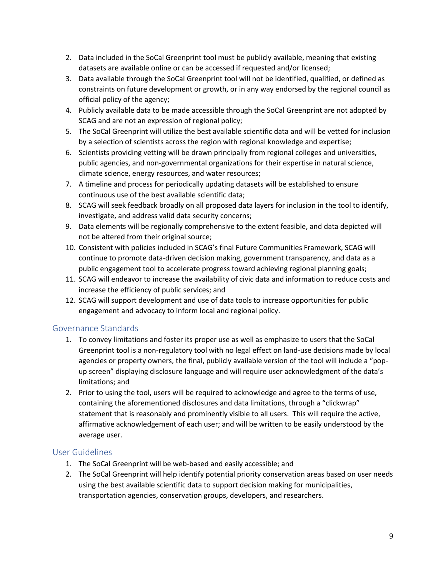- 2. Data included in the SoCal Greenprint tool must be publicly available, meaning that existing datasets are available online or can be accessed if requested and/or licensed;
- 3. Data available through the SoCal Greenprint tool will not be identified, qualified, or defined as constraints on future development or growth, or in any way endorsed by the regional council as official policy of the agency;
- 4. Publicly available data to be made accessible through the SoCal Greenprint are not adopted by SCAG and are not an expression of regional policy;
- 5. The SoCal Greenprint will utilize the best available scientific data and will be vetted for inclusion by a selection of scientists across the region with regional knowledge and expertise;
- 6. Scientists providing vetting will be drawn principally from regional colleges and universities, public agencies, and non-governmental organizations for their expertise in natural science, climate science, energy resources, and water resources;
- 7. A timeline and process for periodically updating datasets will be established to ensure continuous use of the best available scientific data;
- 8. SCAG will seek feedback broadly on all proposed data layers for inclusion in the tool to identify, investigate, and address valid data security concerns;
- 9. Data elements will be regionally comprehensive to the extent feasible, and data depicted will not be altered from their original source;
- 10. Consistent with policies included in SCAG's final Future Communities Framework, SCAG will continue to promote data-driven decision making, government transparency, and data as a public engagement tool to accelerate progress toward achieving regional planning goals;
- 11. SCAG will endeavor to increase the availability of civic data and information to reduce costs and increase the efficiency of public services; and
- 12. SCAG will support development and use of data tools to increase opportunities for public engagement and advocacy to inform local and regional policy.

## <span id="page-9-0"></span>Governance Standards

- 1. To convey limitations and foster its proper use as well as emphasize to users that the SoCal Greenprint tool is a non-regulatory tool with no legal effect on land-use decisions made by local agencies or property owners, the final, publicly available version of the tool will include a "popup screen" displaying disclosure language and will require user acknowledgment of the data's limitations; and
- 2. Prior to using the tool, users will be required to acknowledge and agree to the terms of use, containing the aforementioned disclosures and data limitations, through a "clickwrap" statement that is reasonably and prominently visible to all users. This will require the active, affirmative acknowledgement of each user; and will be written to be easily understood by the average user.

## <span id="page-9-1"></span>User Guidelines

- 1. The SoCal Greenprint will be web-based and easily accessible; and
- 2. The SoCal Greenprint will help identify potential priority conservation areas based on user needs using the best available scientific data to support decision making for municipalities, transportation agencies, conservation groups, developers, and researchers.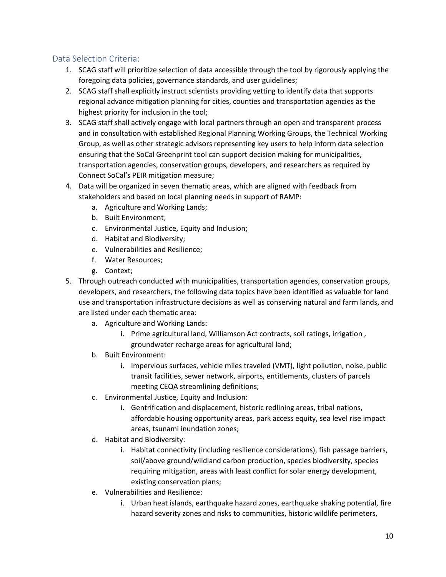# <span id="page-10-0"></span>Data Selection Criteria:

- 1. SCAG staff will prioritize selection of data accessible through the tool by rigorously applying the foregoing data policies, governance standards, and user guidelines;
- 2. SCAG staff shall explicitly instruct scientists providing vetting to identify data that supports regional advance mitigation planning for cities, counties and transportation agencies as the highest priority for inclusion in the tool;
- 3. SCAG staff shall actively engage with local partners through an open and transparent process and in consultation with established Regional Planning Working Groups, the Technical Working Group, as well as other strategic advisors representing key users to help inform data selection ensuring that the SoCal Greenprint tool can support decision making for municipalities, transportation agencies, conservation groups, developers, and researchers as required by Connect SoCal's PEIR mitigation measure;
- 4. Data will be organized in seven thematic areas, which are aligned with feedback from stakeholders and based on local planning needs in support of RAMP:
	- a. Agriculture and Working Lands;
	- b. Built Environment;
	- c. Environmental Justice, Equity and Inclusion;
	- d. Habitat and Biodiversity;
	- e. Vulnerabilities and Resilience;
	- f. Water Resources;
	- g. Context;
- 5. Through outreach conducted with municipalities, transportation agencies, conservation groups, developers, and researchers, the following data topics have been identified as valuable for land use and transportation infrastructure decisions as well as conserving natural and farm lands, and are listed under each thematic area:
	- a. Agriculture and Working Lands:
		- i. Prime agricultural land, Williamson Act contracts, soil ratings, irrigation , groundwater recharge areas for agricultural land;
	- b. Built Environment:
		- i. Impervious surfaces, vehicle miles traveled (VMT), light pollution, noise, public transit facilities, sewer network, airports, entitlements, clusters of parcels meeting CEQA streamlining definitions;
	- c. Environmental Justice, Equity and Inclusion:
		- i. Gentrification and displacement, historic redlining areas, tribal nations, affordable housing opportunity areas, park access equity, sea level rise impact areas, tsunami inundation zones;
	- d. Habitat and Biodiversity:
		- i. Habitat connectivity (including resilience considerations), fish passage barriers, soil/above ground/wildland carbon production, species biodiversity, species requiring mitigation, areas with least conflict for solar energy development, existing conservation plans;
	- e. Vulnerabilities and Resilience:
		- i. Urban heat islands, earthquake hazard zones, earthquake shaking potential, fire hazard severity zones and risks to communities, historic wildlife perimeters,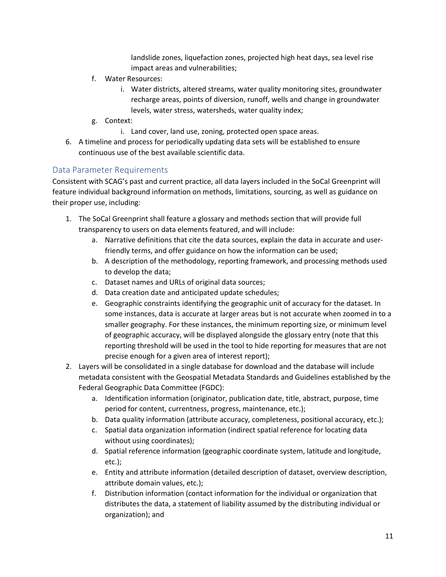landslide zones, liquefaction zones, projected high heat days, sea level rise impact areas and vulnerabilities;

- f. Water Resources:
	- i. Water districts, altered streams, water quality monitoring sites, groundwater recharge areas, points of diversion, runoff, wells and change in groundwater levels, water stress, watersheds, water quality index;
- g. Context:
	- i. Land cover, land use, zoning, protected open space areas.
- 6. A timeline and process for periodically updating data sets will be established to ensure continuous use of the best available scientific data.

#### <span id="page-11-0"></span>Data Parameter Requirements

Consistent with SCAG's past and current practice, all data layers included in the SoCal Greenprint will feature individual background information on methods, limitations, sourcing, as well as guidance on their proper use, including:

- 1. The SoCal Greenprint shall feature a glossary and methods section that will provide full transparency to users on data elements featured, and will include:
	- a. Narrative definitions that cite the data sources, explain the data in accurate and userfriendly terms, and offer guidance on how the information can be used;
	- b. A description of the methodology, reporting framework, and processing methods used to develop the data;
	- c. Dataset names and URLs of original data sources;
	- d. Data creation date and anticipated update schedules;
	- e. Geographic constraints identifying the geographic unit of accuracy for the dataset. In some instances, data is accurate at larger areas but is not accurate when zoomed in to a smaller geography. For these instances, the minimum reporting size, or minimum level of geographic accuracy, will be displayed alongside the glossary entry (note that this reporting threshold will be used in the tool to hide reporting for measures that are not precise enough for a given area of interest report);
- 2. Layers will be consolidated in a single database for download and the database will include metadata consistent with the Geospatial Metadata Standards and Guidelines established by the Federal Geographic Data Committee (FGDC):
	- a. Identification information (originator, publication date, title, abstract, purpose, time period for content, currentness, progress, maintenance, etc.);
	- b. Data quality information (attribute accuracy, completeness, positional accuracy, etc.);
	- c. Spatial data organization information (indirect spatial reference for locating data without using coordinates);
	- d. Spatial reference information (geographic coordinate system, latitude and longitude, etc.);
	- e. Entity and attribute information (detailed description of dataset, overview description, attribute domain values, etc.);
	- f. Distribution information (contact information for the individual or organization that distributes the data, a statement of liability assumed by the distributing individual or organization); and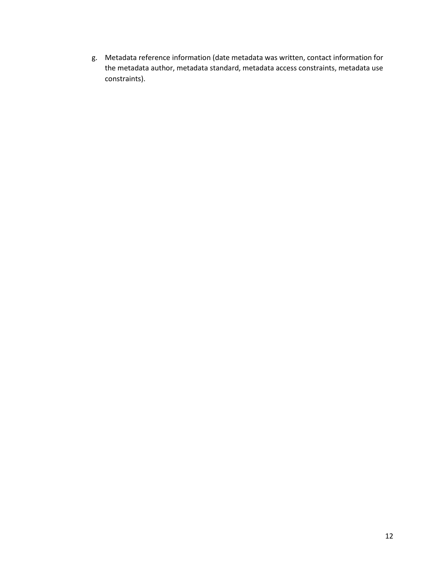g. Metadata reference information (date metadata was written, contact information for the metadata author, metadata standard, metadata access constraints, metadata use constraints).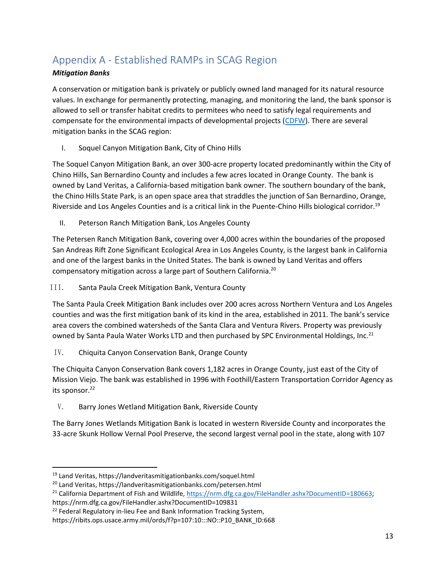# <span id="page-13-0"></span>Appendix A - Established RAMPs in SCAG Region

# *Mitigation Banks*

A conservation or mitigation bank is privately or publicly owned land managed for its natural resource values. In exchange for permanently protecting, managing, and monitoring the land, the bank sponsor is allowed to sell or transfer habitat credits to permitees who need to satisfy legal requirements and compensate for the environmental impacts of developmental projects [\(CDFW\)](https://wildlife.ca.gov/Conservation/Planning/Banking). There are several mitigation banks in the SCAG region:

I. Soquel Canyon Mitigation Bank, City of Chino Hills

The Soquel Canyon Mitigation Bank, an over 300-acre property located predominantly within the City of Chino Hills, San Bernardino County and includes a few acres located in Orange County. The bank is owned by Land Veritas, a California-based mitigation bank owner. The southern boundary of the bank, the Chino Hills State Park, is an open space area that straddles the junction of San Bernardino, Orange, Riverside and Los Angeles Counties and is a critical link in the Puente-Chino Hills biological corridor.<sup>19</sup>

II. Peterson Ranch Mitigation Bank, Los Angeles County

The Petersen Ranch Mitigation Bank, covering over 4,000 acres within the boundaries of the proposed San Andreas Rift Zone Significant Ecological Area in Los Angeles County, is the largest bank in California and one of the largest banks in the United States. The bank is owned by Land Veritas and offers compensatory mitigation across a large part of Southern California.<sup>20</sup>

## III. Santa Paula Creek Mitigation Bank, Ventura County

The Santa Paula Creek Mitigation Bank includes over 200 acres across Northern Ventura and Los Angeles counties and was the first mitigation bank of its kind in the area, established in 2011. The bank's service area covers the combined watersheds of the Santa Clara and Ventura Rivers. Property was previously owned by Santa Paula Water Works LTD and then purchased by SPC Environmental Holdings, Inc.<sup>21</sup>

IV. Chiquita Canyon Conservation Bank, Orange County

The Chiquita Canyon Conservation Bank covers 1,182 acres in Orange County, just east of the City of Mission Viejo. The bank was established in 1996 with Foothill/Eastern Transportation Corridor Agency as its sponsor. 22

V. Barry Jones Wetland Mitigation Bank, Riverside County

The Barry Jones Wetlands Mitigation Bank is located in western Riverside County and incorporates the 33-acre Skunk Hollow Vernal Pool Preserve, the second largest vernal pool in the state, along with 107

<sup>19</sup> Land Veritas, https://landveritasmitigationbanks.com/soquel.html

<sup>20</sup> Land Veritas, https://landveritasmitigationbanks.com/petersen.html

<sup>&</sup>lt;sup>21</sup> California Department of Fish and Wildlife, [https://nrm.dfg.ca.gov/FileHandler.ashx?DocumentID=180663;](https://nrm.dfg.ca.gov/FileHandler.ashx?DocumentID=180663) https://nrm.dfg.ca.gov/FileHandler.ashx?DocumentID=109831

<sup>&</sup>lt;sup>22</sup> Federal Regulatory in-lieu Fee and Bank Information Tracking System,

https://ribits.ops.usace.army.mil/ords/f?p=107:10:::NO::P10\_BANK\_ID:668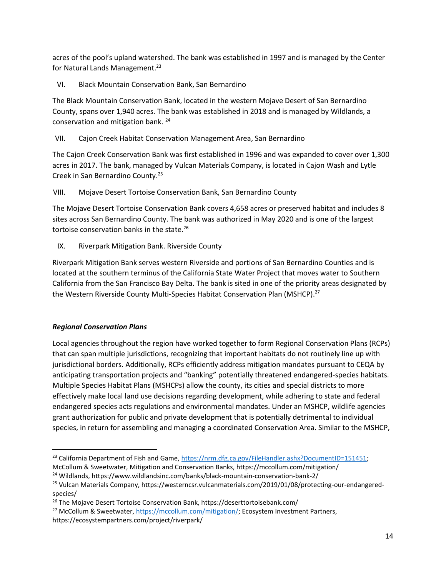acres of the pool's upland watershed. The bank was established in 1997 and is managed by the Center for Natural Lands Management. 23

VI. Black Mountain Conservation Bank, San Bernardino

The Black Mountain Conservation Bank, located in the western Mojave Desert of San Bernardino County, spans over 1,940 acres. The bank was established in 2018 and is managed by Wildlands, a conservation and mitigation bank. <sup>24</sup>

#### VII. Cajon Creek Habitat Conservation Management Area, San Bernardino

The Cajon Creek Conservation Bank was first established in 1996 and was expanded to cover over 1,300 acres in 2017. The bank, managed by Vulcan Materials Company, is located in Cajon Wash and Lytle Creek in San Bernardino County.<sup>25</sup>

VIII. Mojave Desert Tortoise Conservation Bank, San Bernardino County

The Mojave Desert Tortoise Conservation Bank covers 4,658 acres or preserved habitat and includes 8 sites across San Bernardino County. The bank was authorized in May 2020 and is one of the largest tortoise conservation banks in the state.<sup>26</sup>

IX. Riverpark Mitigation Bank. Riverside County

Riverpark Mitigation Bank serves western Riverside and portions of San Bernardino Counties and is located at the southern terminus of the California State Water Project that moves water to Southern California from the San Francisco Bay Delta. The bank is sited in one of the priority areas designated by the Western Riverside County Multi-Species Habitat Conservation Plan (MSHCP).<sup>27</sup>

## *Regional Conservation Plans*

Local agencies throughout the region have worked together to form Regional Conservation Plans (RCPs) that can span multiple jurisdictions, recognizing that important habitats do not routinely line up with jurisdictional borders. Additionally, RCPs efficiently address mitigation mandates pursuant to CEQA by anticipating transportation projects and "banking" potentially threatened endangered-species habitats. Multiple Species Habitat Plans (MSHCPs) allow the county, its cities and special districts to more effectively make local land use decisions regarding development, while adhering to state and federal endangered species acts regulations and environmental mandates. Under an MSHCP, wildlife agencies grant authorization for public and private development that is potentially detrimental to individual species, in return for assembling and managing a coordinated Conservation Area. Similar to the MSHCP,

<sup>&</sup>lt;sup>23</sup> California Department of Fish and Game, [https://nrm.dfg.ca.gov/FileHandler.ashx?DocumentID=151451;](https://nrm.dfg.ca.gov/FileHandler.ashx?DocumentID=151451)

McCollum & Sweetwater, Mitigation and Conservation Banks, https://mccollum.com/mitigation/

<sup>24</sup> Wildlands, https://www.wildlandsinc.com/banks/black-mountain-conservation-bank-2/

<sup>25</sup> Vulcan Materials Company, https://westerncsr.vulcanmaterials.com/2019/01/08/protecting-our-endangeredspecies/

<sup>26</sup> The Mojave Desert Tortoise Conservation Bank, https://deserttortoisebank.com/

<sup>&</sup>lt;sup>27</sup> McCollum & Sweetwater, [https://mccollum.com/mitigation/;](https://mccollum.com/mitigation/) Ecosystem Investment Partners, https://ecosystempartners.com/project/riverpark/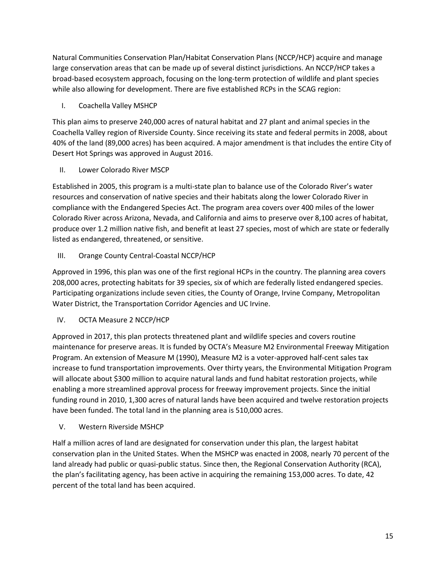Natural Communities Conservation Plan/Habitat Conservation Plans (NCCP/HCP) acquire and manage large conservation areas that can be made up of several distinct jurisdictions. An NCCP/HCP takes a broad-based ecosystem approach, focusing on the long-term protection of wildlife and plant species while also allowing for development. There are five established RCPs in the SCAG region:

I. Coachella Valley MSHCP

This plan aims to preserve 240,000 acres of natural habitat and 27 plant and animal species in the Coachella Valley region of Riverside County. Since receiving its state and federal permits in 2008, about 40% of the land (89,000 acres) has been acquired. A major amendment is that includes the entire City of Desert Hot Springs was approved in August 2016.

II. Lower Colorado River MSCP

Established in 2005, this program is a multi-state plan to balance use of the Colorado River's water resources and conservation of native species and their habitats along the lower Colorado River in compliance with the Endangered Species Act. The program area covers over 400 miles of the lower Colorado River across Arizona, Nevada, and California and aims to preserve over 8,100 acres of habitat, produce over 1.2 million native fish, and benefit at least 27 species, most of which are state or federally listed as endangered, threatened, or sensitive.

III. Orange County Central-Coastal NCCP/HCP

Approved in 1996, this plan was one of the first regional HCPs in the country. The planning area covers 208,000 acres, protecting habitats for 39 species, six of which are federally listed endangered species. Participating organizations include seven cities, the County of Orange, Irvine Company, Metropolitan Water District, the Transportation Corridor Agencies and UC Irvine.

IV. OCTA Measure 2 NCCP/HCP

Approved in 2017, this plan protects threatened plant and wildlife species and covers routine maintenance for preserve areas. It is funded by OCTA's Measure M2 Environmental Freeway Mitigation Program. An extension of Measure M (1990), Measure M2 is a voter-approved half-cent sales tax increase to fund transportation improvements. Over thirty years, the Environmental Mitigation Program will allocate about \$300 million to acquire natural lands and fund habitat restoration projects, while enabling a more streamlined approval process for freeway improvement projects. Since the initial funding round in 2010, 1,300 acres of natural lands have been acquired and twelve restoration projects have been funded. The total land in the planning area is 510,000 acres.

V. Western Riverside MSHCP

Half a million acres of land are designated for conservation under this plan, the largest habitat conservation plan in the United States. When the MSHCP was enacted in 2008, nearly 70 percent of the land already had public or quasi-public status. Since then, the Regional Conservation Authority (RCA), the plan's facilitating agency, has been active in acquiring the remaining 153,000 acres. To date, 42 percent of the total land has been acquired.